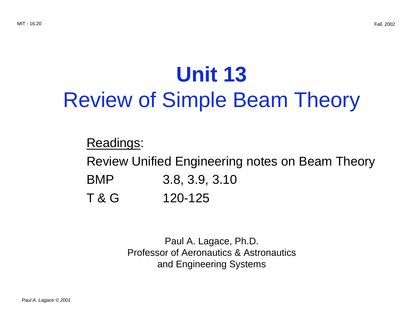## **Unit 13**  Review of Simple Beam Theory

Readings:

Review Unified Engineering notes on Beam Theory

- BMP 3.8, 3.9, 3.10
- T & G 120-125

Paul A. Lagace, Ph.D. Professor of Aeronautics & Astronautics and Engineering Systems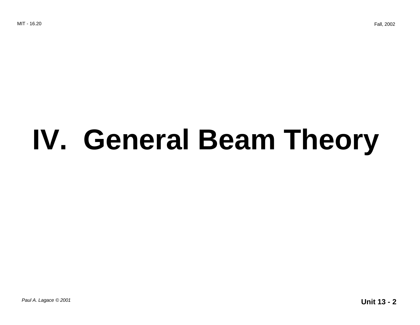# **IV. General Beam Theory**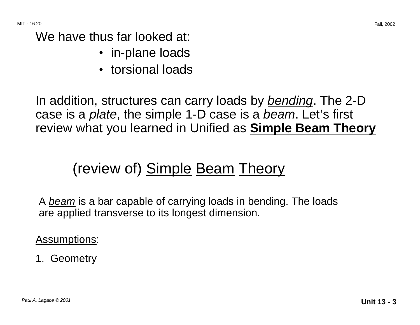We have thus far looked at:

- in-plane loads
- torsional loads

In addition, structures can carry loads by *bending*. The 2-D case is a *plate*, the simple 1-D case is a *beam*. Let's first review what you learned in Unified as **Simple Beam Theory** 

### (review of) Simple Beam Theory

A beam is a bar capable of carrying loads in bending. The loads are applied transverse to its longest dimension.

Assumptions:

#### 1. Geometry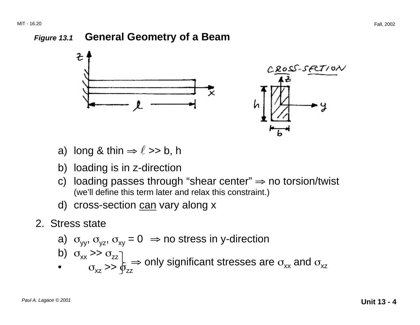#### **Figure 13.1 General Geometry of a Beam**



- a) long & thin  $\Rightarrow$   $\ell$  >> b, h
- b) loading is in z-direction
- c) loading passes through "shear center"  $\Rightarrow$  no torsion/twist (we'll define this term later and relax this constraint.)
- d) cross-section can vary along x
- 2. Stress state

a) 
$$
\sigma_{yy}
$$
,  $\sigma_{yz}$ ,  $\sigma_{xy} = 0 \implies$  no stress in y-direction  
b)  $\sigma_{xx} >> \sigma_{zz}$ 

 $\sigma_{\rm xz} \rightarrow 0$  is  $\frac{1}{2}$  and  $\sigma_{\rm xz}$  and  $\sigma_{\rm xz}$  and  $\sigma_{\rm xz}$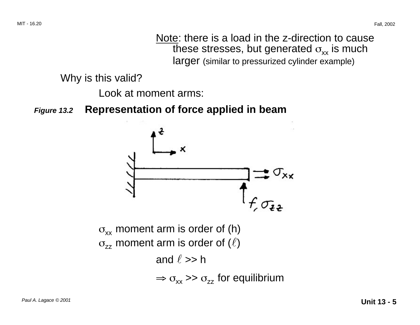Note: there is a load in the z-direction to cause these stresses, but generated  $\sigma_{xx}$  is much larger (similar to pressurized cylinder example)

Why is this valid?

Look at moment arms:

**Figure 13.2 Representation of force applied in beam** 

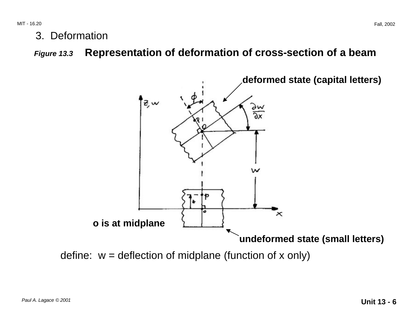3. Deformation

**Figure 13.3 Representation of deformation of cross-section of a beam** 



define:  $w =$  deflection of midplane (function of x only)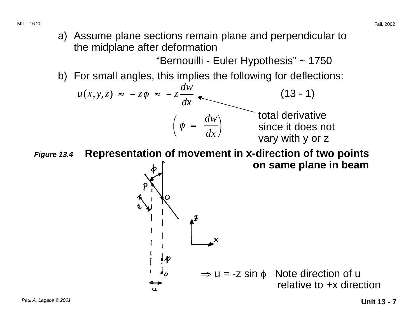a) Assume plane sections remain plane and perpendicular to the midplane after deformation

"Bernouilli - Euler Hypothesis" ~ 1750

b) For small angles, this implies the following for deflections:



**Figure 13.4 Representation of movement in x-direction of two points** 

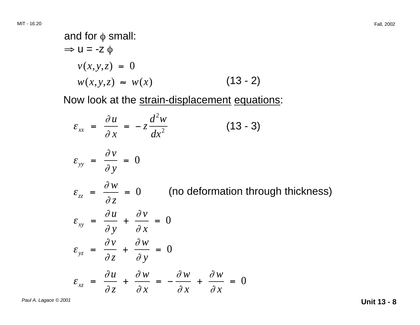and for 
$$
\phi
$$
 small:  
\n $\Rightarrow$  u = -z  $\phi$   
\n $v(x, y, z) = 0$   
\n $w(x, y, z) \approx w(x)$  (13 - 2)

Now look at the strain-displacement equations:

$$
\varepsilon_{xx} = \frac{\partial u}{\partial x} = -z \frac{d^2 w}{dx^2}
$$
 (13 - 3)  
\n
$$
\varepsilon_{yy} = \frac{\partial v}{\partial y} = 0
$$
  
\n
$$
\varepsilon_{zz} = \frac{\partial w}{\partial z} = 0
$$
 (no deformation through thickness)  
\n
$$
\varepsilon_{xy} = \frac{\partial u}{\partial y} + \frac{\partial v}{\partial x} = 0
$$
  
\n
$$
\varepsilon_{yz} = \frac{\partial v}{\partial z} + \frac{\partial w}{\partial y} = 0
$$
  
\n
$$
\varepsilon_{xz} = \frac{\partial u}{\partial z} + \frac{\partial w}{\partial x} = -\frac{\partial w}{\partial x} + \frac{\partial w}{\partial x} = 0
$$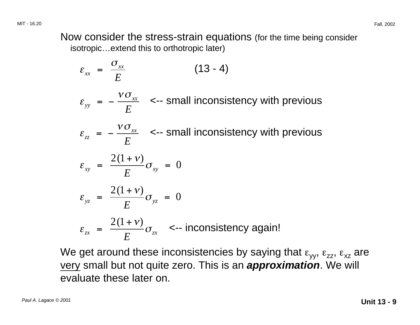Now consider the stress-strain equations (for the time being consider isotropic…extend this to orthotropic later)

$$
\varepsilon_{xx} = \frac{\sigma_{xx}}{E}
$$
 (13 - 4)  
\n
$$
\varepsilon_{yy} = -\frac{\nu \sigma_{xx}}{E}
$$
  $\leftarrow$  small inconsistency with previous  
\n
$$
\varepsilon_{zz} = -\frac{\nu \sigma_{xx}}{E}
$$
  $\leftarrow$  small inconsistency with previous  
\n
$$
\varepsilon_{xy} = \frac{2(1+\nu)}{E} \sigma_{xy} = 0
$$
\n
$$
\varepsilon_{yz} = \frac{2(1+\nu)}{E} \sigma_{yz} = 0
$$
\n
$$
\varepsilon_{zx} = \frac{2(1+\nu)}{E} \sigma_{zx}
$$
  $\leftarrow$  inconsistency again!

We get around these inconsistencies by saying that  $\varepsilon_{yy}$ ,  $\varepsilon_{zz}$ ,  $\varepsilon_{xz}$  are very small but not quite zero. This is an **approximation**. We will evaluate these later on.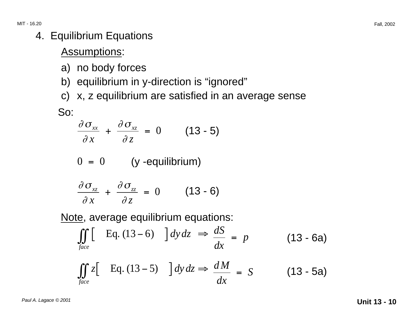#### 4. Equilibrium Equations

#### Assumptions:

- a) no body forces
- b) equilibrium in y-direction is "ignored"
- c) x, z equilibrium are satisfied in an average sense

So:

$$
\frac{\partial \sigma_{xx}}{\partial x} + \frac{\partial \sigma_{xz}}{\partial z} = 0 \qquad (13-5)
$$

$$
0 = 0 \t\t (y - equilibrium)
$$

$$
\frac{\partial \sigma_{xz}}{\partial x} + \frac{\partial \sigma_{zz}}{\partial z} = 0 \qquad (13-6)
$$

Note, average equilibrium equations:

$$
\iint\limits_{face} \left[ \quad \text{Eq. (13–6)} \quad \right] dy \, dz \implies \frac{dS}{dx} = p \tag{13–6a}
$$

$$
\iint_{face} z \left[ \text{Eq. (13-5)} \right] dy dz \Rightarrow \frac{dM}{dx} = S \quad (13-5a)
$$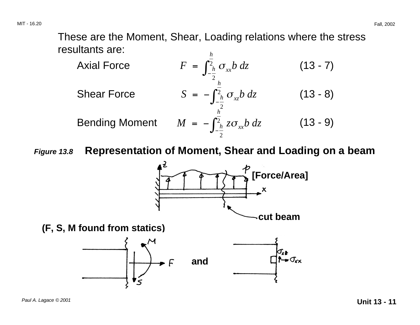These are the Moment, Shear, Loading relations where the stress resultants are: *h*

Axial Force

\n
$$
F = \int_{-\frac{h}{2}}^{\frac{h}{2}} \sigma_{xx} b \, dz \qquad (13-7)
$$
\nShear Force

\n
$$
S = -\int_{-\frac{h}{2}}^{\frac{h}{2}} \sigma_{xz} b \, dz \qquad (13-8)
$$
\nBending Moment

\n
$$
M = -\int_{-\frac{h}{2}}^{\frac{h}{2}} z \sigma_{xx} b \, dz \qquad (13-9)
$$

**Figure 13.8 Representation of Moment, Shear and Loading on a beam** 

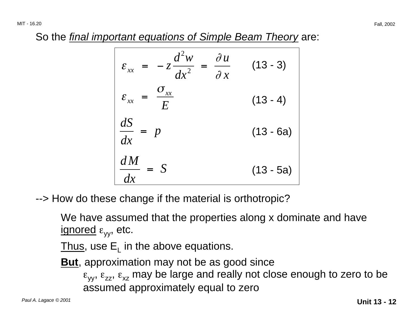So the final important equations of Simple Beam Theory are:

$$
\varepsilon_{xx} = -z \frac{d^2 w}{dx^2} = \frac{\partial u}{\partial x} \qquad (13-3)
$$
\n
$$
\varepsilon_{xx} = \frac{\sigma_{xx}}{E} \qquad (13-4)
$$
\n
$$
\frac{dS}{dx} = p \qquad (13-6a)
$$
\n
$$
\frac{dM}{dx} = S \qquad (13-5a)
$$

--> How do these change if the material is orthotropic?

We have assumed that the properties along x dominate and have ignored  $\varepsilon_{yy}$ , etc.

Thus, use  $E_1$  in the above equations.

**But**, approximation may not be as good since

 $\varepsilon_{yy}$ ,  $\varepsilon_{zz}$ ,  $\varepsilon_{xz}$  may be large and really not close enough to zero to be assumed approximately equal to zero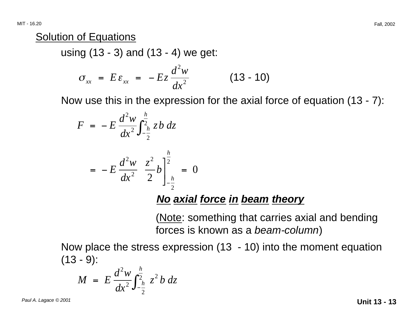#### Solution of Equations

using (13 - 3) and (13 - 4) we get:

$$
\sigma_{xx} = E \varepsilon_{xx} = -Ez \frac{d^2 w}{dx^2} \qquad (13-10)
$$

Now use this in the expression for the axial force of equation (13 - 7):

$$
F = -E \frac{d^2 w}{dx^2} \int_{-\frac{h}{2}}^{\frac{h}{2}} z b \, dz
$$

$$
= -E \frac{d^2 w}{dx^2} \frac{z^2}{2} b \Bigg]_{-\frac{h}{2}}^{\frac{h}{2}} = 0
$$

#### **No axial force in beam theory**

(Note: something that carries axial and bending forces is known as a beam-column)

Now place the stress expression (13 - 10) into the moment equation (13 - 9):

$$
M = E \frac{d^2 w}{dx^2} \int_{-\frac{h}{2}}^{\frac{h}{2}} z^2 b \, dz
$$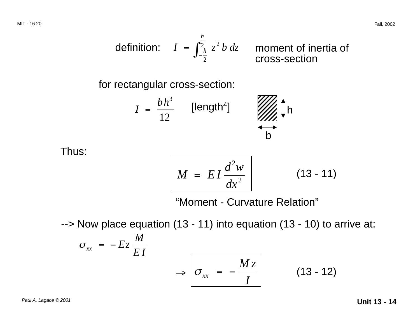definition: 
$$
I = \int_{-\frac{h}{2}}^{\frac{h}{2}} z^2 b dz
$$
 moment of inertia of cross-section

for rectangular cross-section:

$$
I = \frac{bh^3}{12}
$$
 [length<sup>4</sup>]

Thus:

$$
M = EI \frac{d^2 w}{dx^2}
$$
 (13 - 11)

"Moment - Curvature Relation"

--> Now place equation (13 - 11) into equation (13 - 10) to arrive at:

$$
\sigma_{xx} = -Ez \frac{M}{EI}
$$
\n
$$
\Rightarrow \boxed{\sigma_{xx} = -\frac{Mz}{I}}
$$
\n(13 - 12)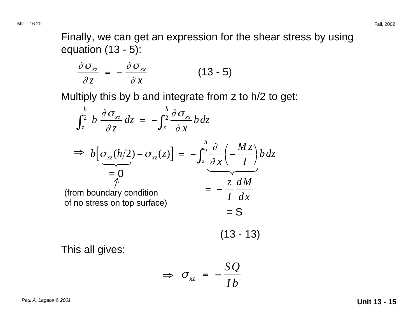Finally, we can get an expression for the shear stress by using equation (13 - 5):

$$
\frac{\partial \sigma_{xz}}{\partial z} = -\frac{\partial \sigma_{xx}}{\partial x} \tag{13-5}
$$

Multiply this by b and integrate from z to h/2 to get:

$$
\int_{z}^{\frac{h}{2}} b \frac{\partial \sigma_{xz}}{\partial z} dz = -\int_{z}^{\frac{h}{2}} \frac{\partial \sigma_{xx}}{\partial x} b dz
$$
  
\n
$$
\Rightarrow b \Big[ \underbrace{\sigma_{xz}(h/2) - \sigma_{xz}(z)}_{=0} \Big] = -\int_{z}^{\frac{h}{2}} \frac{\partial}{\partial x} \Big( -\frac{Mz}{I} \Big)_{=0} b dz
$$
  
\n(from boundary condition  
\nof no stress on top surface)  
\n
$$
= -\frac{z}{I} \frac{dM}{dx}
$$
  
\n
$$
= S
$$

$$
(13 - 13)
$$

This all gives:

$$
\Rightarrow \boxed{\sigma_{xz} = -\frac{SQ}{Ib}}
$$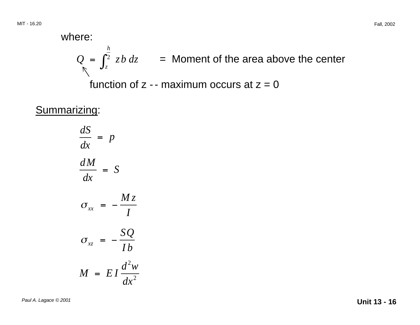where:  
\n
$$
Q = \int_{z}^{\frac{h}{2}} zb dz
$$
 = Moment of the area above the center

function of  $z$  -- maximum occurs at  $z = 0$ 

Summarizing:

*dS*  $\frac{1}{dx}$  = *p d M* = *S dx M <sup>z</sup>*  $\sigma_{xx}$  =  $-\frac{1}{I}$  $\sigma_{xz} = -\frac{SQ}{Ib}$  $M = EI \frac{d^2w}{dt^2}$  $dx^2$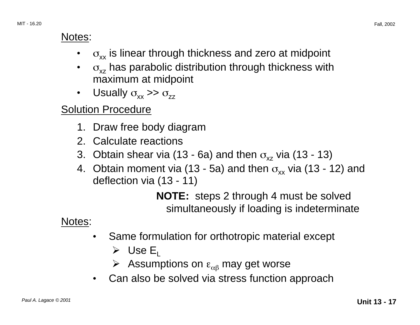#### Notes:

- $\sigma_{xx}$  is linear through thickness and zero at midpoint
- $\sigma_{xz}$  has parabolic distribution through thickness with maximum at midpoint
- Usually  $\sigma_{xx} \gg \sigma_{zz}$

#### **Solution Procedure**

- 1. Draw free body diagram
- 2. Calculate reactions
- 3. Obtain shear via (13 6a) and then  $\sigma_{xz}$  via (13 13)
- 4. Obtain moment via (13 5a) and then  $\sigma_{xx}$  via (13 12) and deflection via (13 - 11)

**NOTE:** steps 2 through 4 must be solved simultaneously if loading is indeterminate

Notes:

- • Same formulation for orthotropic material except
	- $\triangleright$  Use E<sub>L</sub>
	- $\triangleright$  Assumptions on  $\varepsilon_{\alpha\beta}$  may get worse
- Can also be solved via stress function approach